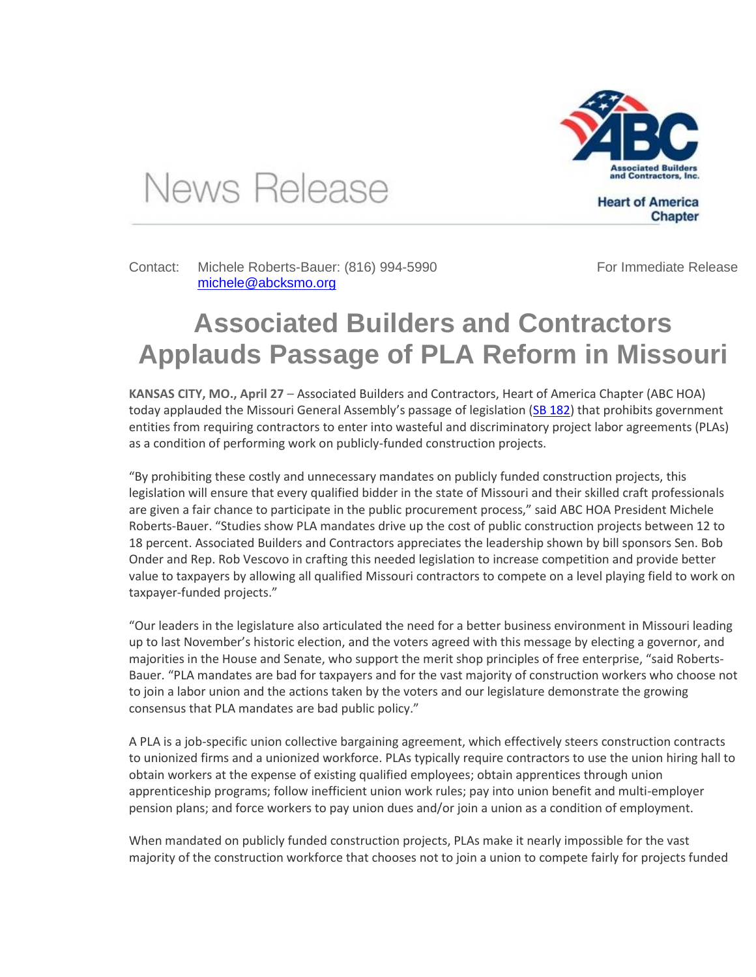

News Release

Contact: Michele Roberts-Bauer: (816) 994-5990 [michele@abcksmo.org](mailto:michele@abcksmo.org) 

For Immediate Release

**Chapter** 

## **Associated Builders and Contractors Applauds Passage of PLA Reform in Missouri**

**KANSAS CITY, MO., April 27** – Associated Builders and Contractors, Heart of America Chapter (ABC HOA) today applauded the Missouri General Assembly's passage of legislation [\(SB 182\)](http://www.senate.mo.gov/17info/BTS_Web/Bill.aspx?SessionType=R&BillID=57095469) that prohibits government entities from requiring contractors to enter into wasteful and discriminatory project labor agreements (PLAs) as a condition of performing work on publicly-funded construction projects.

"By prohibiting these costly and unnecessary mandates on publicly funded construction projects, this legislation will ensure that every qualified bidder in the state of Missouri and their skilled craft professionals are given a fair chance to participate in the public procurement process," said ABC HOA President Michele Roberts-Bauer. "Studies show PLA mandates drive up the cost of public construction projects between 12 to 18 percent. Associated Builders and Contractors appreciates the leadership shown by bill sponsors Sen. Bob Onder and Rep. Rob Vescovo in crafting this needed legislation to increase competition and provide better value to taxpayers by allowing all qualified Missouri contractors to compete on a level playing field to work on taxpayer-funded projects."

"Our leaders in the legislature also articulated the need for a better business environment in Missouri leading up to last November's historic election, and the voters agreed with this message by electing a governor, and majorities in the House and Senate, who support the merit shop principles of free enterprise, "said Roberts-Bauer. "PLA mandates are bad for taxpayers and for the vast majority of construction workers who choose not to join a labor union and the actions taken by the voters and our legislature demonstrate the growing consensus that PLA mandates are bad public policy."

A PLA is a job-specific union collective bargaining agreement, which effectively steers construction contracts to unionized firms and a unionized workforce. PLAs typically require contractors to use the union hiring hall to obtain workers at the expense of existing qualified employees; obtain apprentices through union apprenticeship programs; follow inefficient union work rules; pay into union benefit and multi-employer pension plans; and force workers to pay union dues and/or join a union as a condition of employment.

When mandated on publicly funded construction projects, PLAs make it nearly impossible for the vast majority of the construction workforce that chooses not to join a union to compete fairly for projects funded